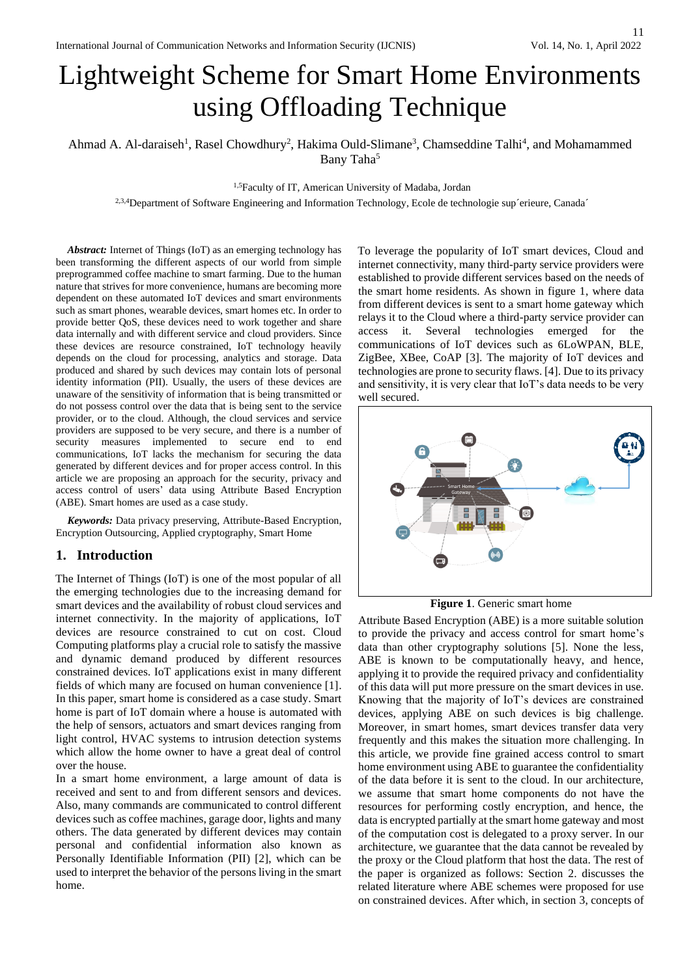# Lightweight Scheme for Smart Home Environments using Offloading Technique

Ahmad A. Al-daraiseh<sup>1</sup>, Rasel Chowdhury<sup>2</sup>, Hakima Ould-Slimane<sup>3</sup>, Chamseddine Talhi<sup>4</sup>, and Mohamammed Bany Taha<sup>5</sup>

1,5Faculty of IT, American University of Madaba, Jordan

2,3,4Department of Software Engineering and Information Technology, Ecole de technologie sup´erieure, Canada´

*Abstract:* Internet of Things (IoT) as an emerging technology has been transforming the different aspects of our world from simple preprogrammed coffee machine to smart farming. Due to the human nature that strives for more convenience, humans are becoming more dependent on these automated IoT devices and smart environments such as smart phones, wearable devices, smart homes etc. In order to provide better QoS, these devices need to work together and share data internally and with different service and cloud providers. Since these devices are resource constrained, IoT technology heavily depends on the cloud for processing, analytics and storage. Data produced and shared by such devices may contain lots of personal identity information (PII). Usually, the users of these devices are unaware of the sensitivity of information that is being transmitted or do not possess control over the data that is being sent to the service provider, or to the cloud. Although, the cloud services and service providers are supposed to be very secure, and there is a number of security measures implemented to secure end to end communications, IoT lacks the mechanism for securing the data generated by different devices and for proper access control. In this article we are proposing an approach for the security, privacy and access control of users' data using Attribute Based Encryption (ABE). Smart homes are used as a case study.

*Keywords:* Data privacy preserving, Attribute-Based Encryption, Encryption Outsourcing, Applied cryptography, Smart Home

## **1. Introduction**

The Internet of Things (IoT) is one of the most popular of all the emerging technologies due to the increasing demand for smart devices and the availability of robust cloud services and internet connectivity. In the majority of applications, IoT devices are resource constrained to cut on cost. Cloud Computing platforms play a crucial role to satisfy the massive and dynamic demand produced by different resources constrained devices. IoT applications exist in many different fields of which many are focused on human convenience [1]. In this paper, smart home is considered as a case study. Smart home is part of IoT domain where a house is automated with the help of sensors, actuators and smart devices ranging from light control, HVAC systems to intrusion detection systems which allow the home owner to have a great deal of control over the house.

In a smart home environment, a large amount of data is received and sent to and from different sensors and devices. Also, many commands are communicated to control different devices such as coffee machines, garage door, lights and many others. The data generated by different devices may contain personal and confidential information also known as Personally Identifiable Information (PII) [2], which can be used to interpret the behavior of the persons living in the smart home.

To leverage the popularity of IoT smart devices, Cloud and internet connectivity, many third-party service providers were established to provide different services based on the needs of the smart home residents. As shown in figure 1, where data from different devices is sent to a smart home gateway which relays it to the Cloud where a third-party service provider can access it. Several technologies emerged for the communications of IoT devices such as 6LoWPAN, BLE, ZigBee, XBee, CoAP [3]. The majority of IoT devices and technologies are prone to security flaws. [4]. Due to its privacy and sensitivity, it is very clear that IoT's data needs to be very well secured.



**Figure 1**. Generic smart home

Attribute Based Encryption (ABE) is a more suitable solution to provide the privacy and access control for smart home's data than other cryptography solutions [5]. None the less, ABE is known to be computationally heavy, and hence, applying it to provide the required privacy and confidentiality of this data will put more pressure on the smart devices in use. Knowing that the majority of IoT's devices are constrained devices, applying ABE on such devices is big challenge. Moreover, in smart homes, smart devices transfer data very frequently and this makes the situation more challenging. In this article, we provide fine grained access control to smart home environment using ABE to guarantee the confidentiality of the data before it is sent to the cloud. In our architecture, we assume that smart home components do not have the resources for performing costly encryption, and hence, the data is encrypted partially at the smart home gateway and most of the computation cost is delegated to a proxy server. In our architecture, we guarantee that the data cannot be revealed by the proxy or the Cloud platform that host the data. The rest of the paper is organized as follows: Section 2. discusses the related literature where ABE schemes were proposed for use on constrained devices. After which, in section 3, concepts of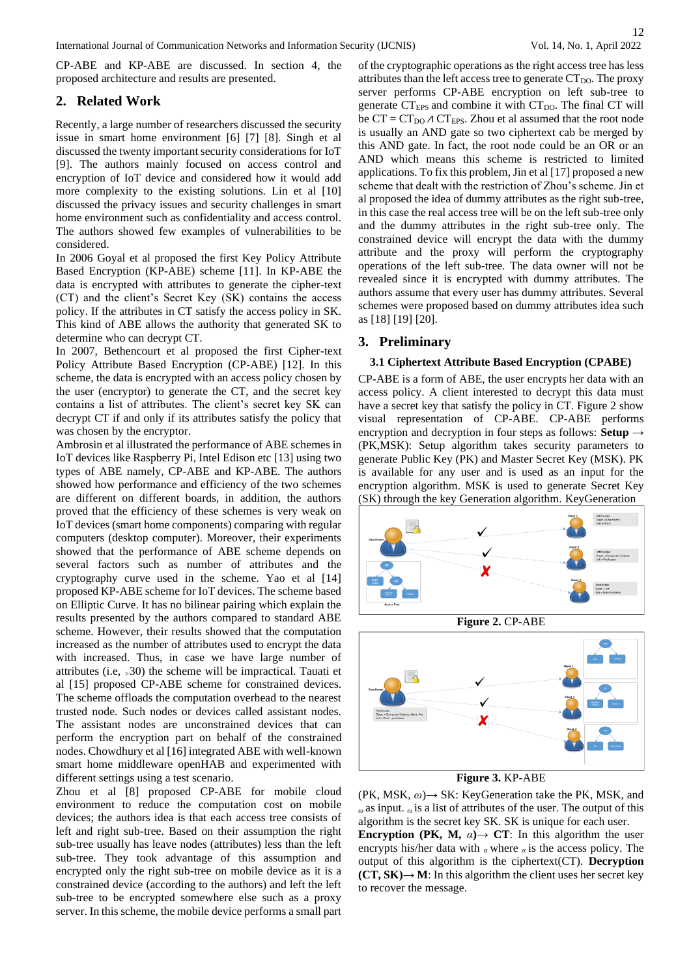CP-ABE and KP-ABE are discussed. In section 4, the proposed architecture and results are presented.

## **2. Related Work**

Recently, a large number of researchers discussed the security issue in smart home environment [6] [7] [8]. Singh et al discussed the twenty important security considerations for IoT [9]. The authors mainly focused on access control and encryption of IoT device and considered how it would add more complexity to the existing solutions. Lin et al [10] discussed the privacy issues and security challenges in smart home environment such as confidentiality and access control. The authors showed few examples of vulnerabilities to be considered.

In 2006 Goyal et al proposed the first Key Policy Attribute Based Encryption (KP-ABE) scheme [11]. In KP-ABE the data is encrypted with attributes to generate the cipher-text (CT) and the client's Secret Key (SK) contains the access policy. If the attributes in CT satisfy the access policy in SK. This kind of ABE allows the authority that generated SK to determine who can decrypt CT.

In 2007, Bethencourt et al proposed the first Cipher-text Policy Attribute Based Encryption (CP-ABE) [12]. In this scheme, the data is encrypted with an access policy chosen by the user (encryptor) to generate the CT, and the secret key contains a list of attributes. The client's secret key SK can decrypt CT if and only if its attributes satisfy the policy that was chosen by the encryptor.

Ambrosin et al illustrated the performance of ABE schemes in IoT devices like Raspberry Pi, Intel Edison etc [13] using two types of ABE namely, CP-ABE and KP-ABE. The authors showed how performance and efficiency of the two schemes are different on different boards, in addition, the authors proved that the efficiency of these schemes is very weak on IoT devices (smart home components) comparing with regular computers (desktop computer). Moreover, their experiments showed that the performance of ABE scheme depends on several factors such as number of attributes and the cryptography curve used in the scheme. Yao et al [14] proposed KP-ABE scheme for IoT devices. The scheme based on Elliptic Curve. It has no bilinear pairing which explain the results presented by the authors compared to standard ABE scheme. However, their results showed that the computation increased as the number of attributes used to encrypt the data with increased. Thus, in case we have large number of attributes (i.e, *>*30) the scheme will be impractical. Tauati et al [15] proposed CP-ABE scheme for constrained devices. The scheme offloads the computation overhead to the nearest trusted node. Such nodes or devices called assistant nodes. The assistant nodes are unconstrained devices that can perform the encryption part on behalf of the constrained nodes. Chowdhury et al [16] integrated ABE with well-known smart home middleware openHAB and experimented with different settings using a test scenario.

Zhou et al [8] proposed CP-ABE for mobile cloud environment to reduce the computation cost on mobile devices; the authors idea is that each access tree consists of left and right sub-tree. Based on their assumption the right sub-tree usually has leave nodes (attributes) less than the left sub-tree. They took advantage of this assumption and encrypted only the right sub-tree on mobile device as it is a constrained device (according to the authors) and left the left sub-tree to be encrypted somewhere else such as a proxy server. In this scheme, the mobile device performs a small part

of the cryptographic operations as the right access tree has less attributes than the left access tree to generate  $CT<sub>DO</sub>$ . The proxy server performs CP-ABE encryption on left sub-tree to generate  $CT_{EPS}$  and combine it with  $CT_{DO}$ . The final CT will be  $CT = CT_{DO} \land CT_{EPS}$ . Zhou et al assumed that the root node is usually an AND gate so two ciphertext cab be merged by this AND gate. In fact, the root node could be an OR or an AND which means this scheme is restricted to limited applications. To fix this problem, Jin et al [17] proposed a new scheme that dealt with the restriction of Zhou's scheme. Jin et al proposed the idea of dummy attributes as the right sub-tree, in this case the real access tree will be on the left sub-tree only and the dummy attributes in the right sub-tree only. The constrained device will encrypt the data with the dummy attribute and the proxy will perform the cryptography operations of the left sub-tree. The data owner will not be revealed since it is encrypted with dummy attributes. The authors assume that every user has dummy attributes. Several schemes were proposed based on dummy attributes idea such as [18] [19] [20].

## **3. Preliminary**

#### **3.1 Ciphertext Attribute Based Encryption (CPABE)**

CP-ABE is a form of ABE, the user encrypts her data with an access policy. A client interested to decrypt this data must have a secret key that satisfy the policy in CT. Figure 2 show visual representation of CP-ABE. CP-ABE performs encryption and decryption in four steps as follows: **Setup** *→*  (PK,MSK): Setup algorithm takes security parameters to generate Public Key (PK) and Master Secret Key (MSK). PK is available for any user and is used as an input for the encryption algorithm. MSK is used to generate Secret Key (SK) through the key Generation algorithm. KeyGeneration





**Figure 3.** KP-ABE

(PK, MSK, *ω*)*→* SK: KeyGeneration take the PK, MSK, and *<sup>ω</sup>*as input. *ω* is a list of attributes of the user. The output of this algorithm is the secret key SK. SK is unique for each user.

**Encryption (PK, M,**  $\alpha$ **)**  $\rightarrow$  **<b>CT**: In this algorithm the user encrypts his/her data with *α* where *α* is the access policy. The output of this algorithm is the ciphertext(CT). **Decryption**   $(CT, SK) \rightarrow M$ : In this algorithm the client uses her secret key to recover the message.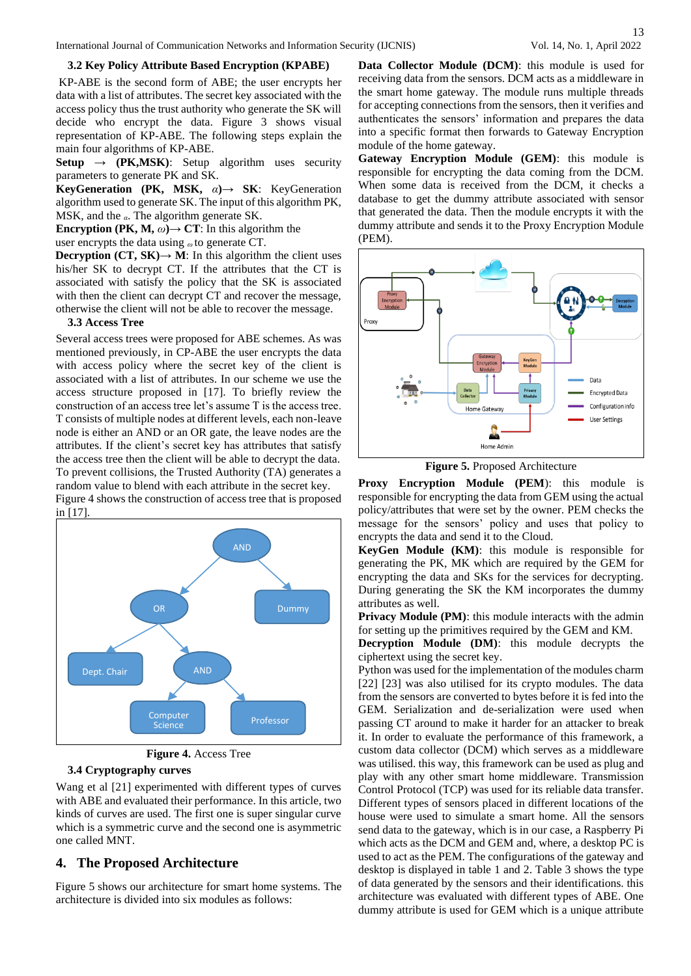#### **3.2 Key Policy Attribute Based Encryption (KPABE)**

KP-ABE is the second form of ABE; the user encrypts her data with a list of attributes. The secret key associated with the access policy thus the trust authority who generate the SK will decide who encrypt the data. Figure 3 shows visual representation of KP-ABE. The following steps explain the main four algorithms of KP-ABE.

**Setup**  $\rightarrow$  **(PK,MSK)**: Setup algorithm uses security parameters to generate PK and SK.

**KeyGeneration (PK, MSK,** *α***)***→* **SK**: KeyGeneration algorithm used to generate SK. The input of this algorithm PK, MSK, and the *α*. The algorithm generate SK.

**Encryption (PK, M,**  $\omega$ **)** $\rightarrow$  **<b>CT**: In this algorithm the

user encrypts the data using *ω* to generate CT.

**Decryption (CT, SK)** $\rightarrow$  **<b>M**: In this algorithm the client uses his/her SK to decrypt CT. If the attributes that the CT is associated with satisfy the policy that the SK is associated with then the client can decrypt CT and recover the message, otherwise the client will not be able to recover the message.

#### **3.3 Access Tree**

Several access trees were proposed for ABE schemes. As was mentioned previously, in CP-ABE the user encrypts the data with access policy where the secret key of the client is associated with a list of attributes. In our scheme we use the access structure proposed in [17]. To briefly review the construction of an access tree let's assume T is the access tree. T consists of multiple nodes at different levels, each non-leave node is either an AND or an OR gate, the leave nodes are the attributes. If the client's secret key has attributes that satisfy the access tree then the client will be able to decrypt the data. To prevent collisions, the Trusted Authority (TA) generates a random value to blend with each attribute in the secret key.

Figure 4 shows the construction of access tree that is proposed in [17].





## **3.4 Cryptography curves**

Wang et al [21] experimented with different types of curves with ABE and evaluated their performance. In this article, two kinds of curves are used. The first one is super singular curve which is a symmetric curve and the second one is asymmetric one called MNT.

## **4. The Proposed Architecture**

Figure 5 shows our architecture for smart home systems. The architecture is divided into six modules as follows:

**Data Collector Module (DCM)**: this module is used for receiving data from the sensors. DCM acts as a middleware in the smart home gateway. The module runs multiple threads for accepting connections from the sensors, then it verifies and authenticates the sensors' information and prepares the data into a specific format then forwards to Gateway Encryption module of the home gateway.

**Gateway Encryption Module (GEM)**: this module is responsible for encrypting the data coming from the DCM. When some data is received from the DCM, it checks a database to get the dummy attribute associated with sensor that generated the data. Then the module encrypts it with the dummy attribute and sends it to the Proxy Encryption Module (PEM).



**Figure 5.** Proposed Architecture

**Proxy Encryption Module (PEM**): this module is responsible for encrypting the data from GEM using the actual policy/attributes that were set by the owner. PEM checks the message for the sensors' policy and uses that policy to encrypts the data and send it to the Cloud.

**KeyGen Module (KM)**: this module is responsible for generating the PK, MK which are required by the GEM for encrypting the data and SKs for the services for decrypting. During generating the SK the KM incorporates the dummy attributes as well.

**Privacy Module (PM)**: this module interacts with the admin for setting up the primitives required by the GEM and KM.

**Decryption Module (DM)**: this module decrypts the ciphertext using the secret key.

Python was used for the implementation of the modules charm [22] [23] was also utilised for its crypto modules. The data from the sensors are converted to bytes before it is fed into the GEM. Serialization and de-serialization were used when passing CT around to make it harder for an attacker to break it. In order to evaluate the performance of this framework, a custom data collector (DCM) which serves as a middleware was utilised. this way, this framework can be used as plug and play with any other smart home middleware. Transmission Control Protocol (TCP) was used for its reliable data transfer. Different types of sensors placed in different locations of the house were used to simulate a smart home. All the sensors send data to the gateway, which is in our case, a Raspberry Pi which acts as the DCM and GEM and, where, a desktop PC is used to act as the PEM. The configurations of the gateway and desktop is displayed in table 1 and 2. Table 3 shows the type of data generated by the sensors and their identifications. this architecture was evaluated with different types of ABE. One dummy attribute is used for GEM which is a unique attribute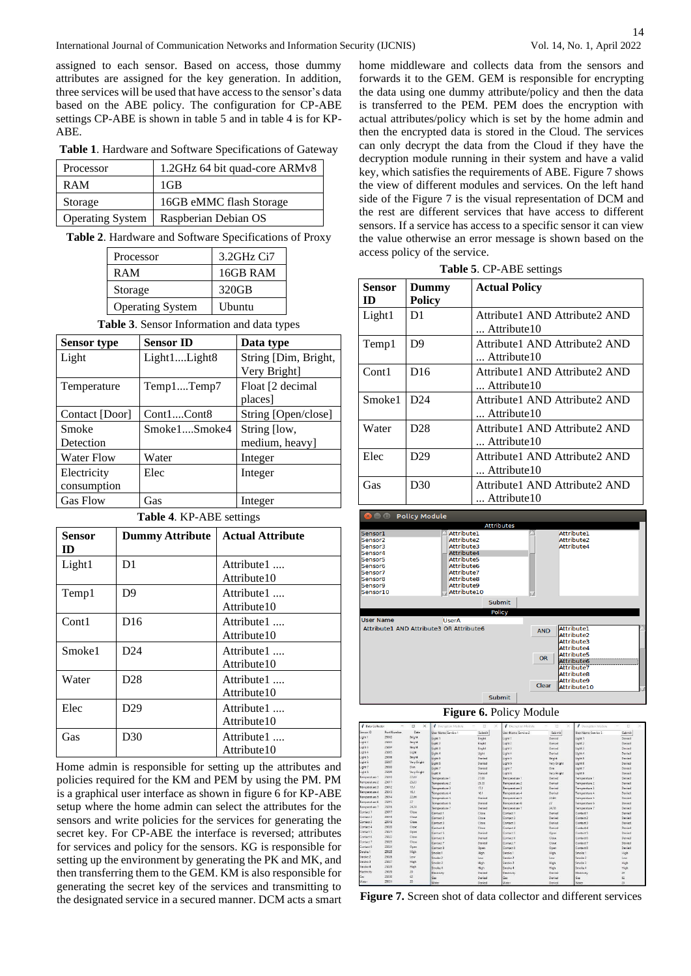assigned to each sensor. Based on access, those dummy attributes are assigned for the key generation. In addition, three services will be used that have access to the sensor's data based on the ABE policy. The configuration for CP-ABE settings CP-ABE is shown in table 5 and in table 4 is for KP-ABE.

**Table 1**. Hardware and Software Specifications of Gateway

| Processor               | 1.2GHz 64 bit quad-core ARMv8 |  |  |
|-------------------------|-------------------------------|--|--|
| <b>RAM</b>              | 1 <sub>GB</sub>               |  |  |
| Storage                 | 16GB eMMC flash Storage       |  |  |
| <b>Operating System</b> | Raspberian Debian OS          |  |  |

**Table 2**. Hardware and Software Specifications of Proxy

| Processor               | 3.2GHz Ci7 |
|-------------------------|------------|
| <b>RAM</b>              | 16GB RAM   |
| Storage                 | 320GB      |
| <b>Operating System</b> | Ubuntu     |

**Table 3**. Sensor Information and data types

| Sensor type       | <b>Sensor ID</b> | Data type            |
|-------------------|------------------|----------------------|
| Light             | Light1Light8     | String [Dim, Bright, |
|                   |                  | Very Bright]         |
| Temperature       | Temp1Temp7       | Float [2 decimal     |
|                   |                  | places]              |
| Contact [Door]    | Cont1Cont8       | String [Open/close]  |
| Smoke             | Smoke1Smoke4     | String [low,         |
| Detection         |                  | medium, heavy]       |
| <b>Water Flow</b> | Water            | Integer              |
| Electricity       | Elec             | Integer              |
| consumption       |                  |                      |
| <b>Gas Flow</b>   | Gas              | Integer              |

**Table 4**. KP-ABE settings

| Sensor<br>ID | <b>Dummy Attribute</b> | <b>Actual Attribute</b>    |
|--------------|------------------------|----------------------------|
| Light1       | D1                     | Attribute1<br>Attribute 10 |
| Temp1        | D <sub>9</sub>         | Attribute1<br>Attribute10  |
| Cont1        | D <sub>16</sub>        | Attribute1<br>Attribute 10 |
| Smoke1       | D <sub>24</sub>        | Attribute1<br>Attribute10  |
| Water        | D <sub>28</sub>        | Attribute1<br>Attribute10  |
| Elec         | D29                    | Attribute1<br>Attribute10  |
| Gas          | D30                    | Attribute1<br>Attribute 10 |

Home admin is responsible for setting up the attributes and policies required for the KM and PEM by using the PM. PM is a graphical user interface as shown in figure 6 for KP-ABE setup where the home admin can select the attributes for the sensors and write policies for the services for generating the secret key. For CP-ABE the interface is reversed; attributes for services and policy for the sensors. KG is responsible for setting up the environment by generating the PK and MK, and then transferring them to the GEM. KM is also responsible for generating the secret key of the services and transmitting to the designated service in a secured manner. DCM acts a smart

home middleware and collects data from the sensors and forwards it to the GEM. GEM is responsible for encrypting the data using one dummy attribute/policy and then the data is transferred to the PEM. PEM does the encryption with actual attributes/policy which is set by the home admin and then the encrypted data is stored in the Cloud. The services can only decrypt the data from the Cloud if they have the decryption module running in their system and have a valid key, which satisfies the requirements of ABE. Figure 7 shows the view of different modules and services. On the left hand side of the Figure 7 is the visual representation of DCM and the rest are different services that have access to different sensors. If a service has access to a specific sensor it can view the value otherwise an error message is shown based on the access policy of the service.

|  | Table 5. CP-ABE settings |  |
|--|--------------------------|--|
|--|--------------------------|--|

| Sensor<br>ID | Dummy<br><b>Policy</b> | <b>Actual Policy</b>                          |  |  |  |
|--------------|------------------------|-----------------------------------------------|--|--|--|
| Light1       | D1                     | Attribute1 AND Attribute2 AND<br>Attribute10  |  |  |  |
| Temp1        | D <sub>9</sub>         | Attribute1 AND Attribute2 AND<br>Attribute 10 |  |  |  |
| Cont1        | D <sub>16</sub>        | Attribute1 AND Attribute2 AND<br>Attribute10  |  |  |  |
| Smoke1       | D24                    | Attribute1 AND Attribute2 AND<br>Attribute10  |  |  |  |
| Water        | D <sub>28</sub>        | Attribute1 AND Attribute2 AND<br>Attribute10  |  |  |  |
| Elec         | D <sub>29</sub>        | Attribute1 AND Attribute2 AND<br>Attribute10  |  |  |  |
| Gas          | D30                    | Attribute1 AND Attribute2 AND<br>Attribute10  |  |  |  |

**Policy Module** 





| <b><i>Collector</i></b> | Port Number | α<br>$\times$ | Decreation Module   | п<br>×<br>$\sim$ | Decretion Module    | O<br>×<br>$\sim$ | Decretion Module    | о<br>$\infty$ |
|-------------------------|-------------|---------------|---------------------|------------------|---------------------|------------------|---------------------|---------------|
| Sensor ID               |             | Data          | User Name Service 1 | Submit           | User Name Service 2 | Submit           | User Name Service 3 | Submit        |
| Light 1                 | 25002       | Bright        | Light 1             | Bright           | Light 1             | Denied           | Lisht 1             | Denied        |
| Light 2                 | 25003       | Bright        | Light 2             | <b>Booht</b>     | Light 2             | Denied           | Light 2             | Denied        |
| Light 3                 | 25034       | Bright        | Light 3             | <b>Sright</b>    | Light 3             | Denied           | Light 3             | Denied        |
| Light 4                 | 25005       | Light         | Light 4             | Light            | Light 4             | Denied           | Light 4             | <b>Denied</b> |
| Light 5                 | 25006       | <b>Bright</b> | Light 5             | Denied           | Light 5             | Dright           | Light 5             | Denied        |
| Light 6                 | 25007       | Very Bright   | Light 6             | Denied           | Light 6             | Very Bright      | Light 6             | Denied        |
| Light 7                 | 25008       | Dim           | Light 7             | Denied           | Light 7             | Dim              | Light 7             | Denied        |
| Light 8                 | 25009       | Very Bright   | Light 8             | Denied           | Light &             | Very Bright      | Light 8             | Denied        |
| Temperature 1           | 25010       | 27,00         | Terriperature 1     | 27.00            | Temperature 1       | Denied           | Temperature 1       | Dereind       |
| Temperature 2           | 23011       | 25.33         | Temperature 2       | 25.33            | Temperature 2       | Denied           | Temperature 2       | Denied        |
| Temperature 3           | 25012       | 17.1          | Temperature 3       | 17.1             | Temperature 3       | Denied           | Temperature 3       | Denied        |
| Temperature 4           | 25013       | 16.1          | Temperature 4       | 16.1             | Temperature 4       | Denied           | Temperature 4       | Denied        |
| Temperature 5           | 25014       | 22.66         | Temperature 5       | Denied           | Temperature 5       | 22,65            | Temperature 5       | Deniad        |
| Temperature 6           | 25015       | 27            | Temperature 6       | Denied           | Temperature 6       | zż               | Temperature 6       | Denied        |
| Temperature ?           | 25016       | 24,18         | Temperature 7       | Denied           | Temperature 7       | 24,18            | Temperature 7       | Derried       |
| Contact 1               | 25017       | Close         | Contact I           | Close            | Contact I           | Decied           | Contact 1           | Decimal       |
| Contact 2               | 25018       | Close         | Contact 2           | Close            | Contact 2           | Denied           | Contact 2           | Denied        |
| Contact 3               | 25019       | Close         | Contact 3           | Close            | Contact 3           | Denied           | Contact 3           | Denied        |
| Contact 4               | 25020       | Close         | Contact 4           | Close            | Contact &           | Denied           | Contact &           | Denied        |
| Contact 5               | 25021       | Open          | Contact 5           | Denied           | Contact 5           | Open             | Contact 5           | Denied        |
| Contact 6               | 25022       | Close         | Contact 6           | Denied           | Contect 6           | Close            | Contact 6           | Denied        |
| Contact 7               | 25023       | Close         | Contact 7           | Denied           | Contact 7           | Close            | Contact 7           | Denied        |
| Contact 8               | 25024       | Open          | Contact B           | Open             | Contact 8           | Open             | Contact B           | Denied        |
| Smoke 1                 | 25025       | High          | Smoke 1             | High             | Smoke 1             | High             | Smoke 1             | High          |
| Smoke 2                 | 25026       | Low           | Smoke 2             | Low              | Smoke 2             | Lov              | Smoke 2             | Low           |
| Smoke 3                 | 25027       | High          | Smoke 3             | High             | Smoke 3             | High             | Smoke 3             | High          |
| Smoke 4                 | 25028       | High          | Smoke 4             | High             | Smoke 4             | High             | Smake 4             | High          |
| Electricity             | 25029       | 29            | Dectricity          | Denied           | Electricity         | Denied           | Electricity         | 29            |
| Ges                     | 25030       | 62            | Gas                 | Denied           | Gas                 | Denisol          | Gas                 | 62            |
| Water                   | 25031       | 20            | Water               | Denied           | Water               | Denisel          | Water               | 20            |

**Figure 7.** Screen shot of data collector and different services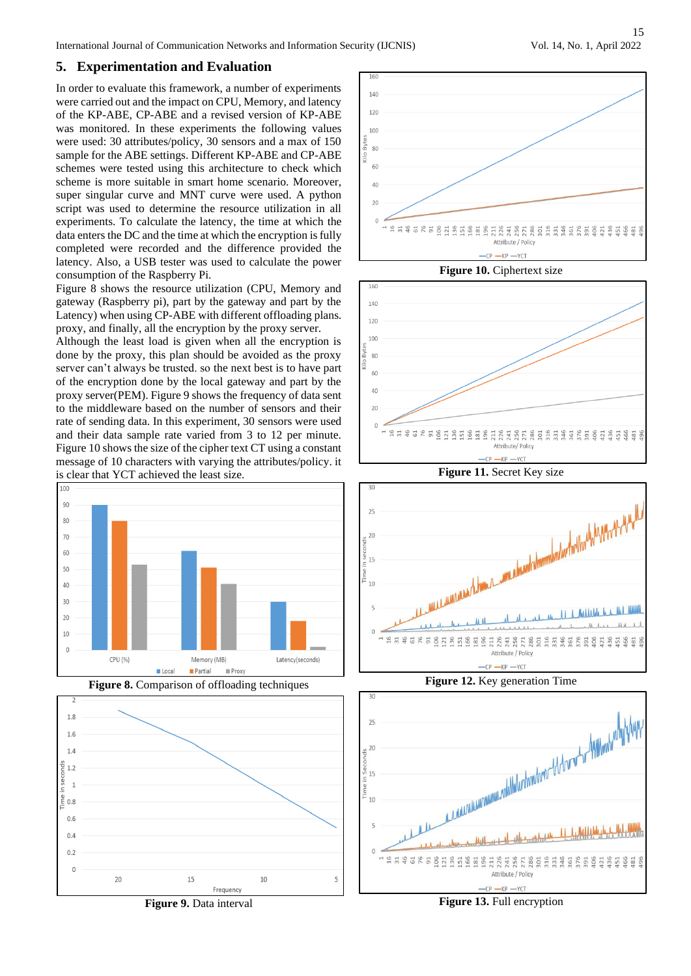International Journal of Communication Networks and Information Security (IJCNIS) Vol. 14, No. 1, April 2022

# **5. Experimentation and Evaluation**

In order to evaluate this framework, a number of experiments were carried out and the impact on CPU, Memory, and latency of the KP-ABE, CP-ABE and a revised version of KP-ABE was monitored. In these experiments the following values were used: 30 attributes/policy, 30 sensors and a max of 150 sample for the ABE settings. Different KP-ABE and CP-ABE schemes were tested using this architecture to check which scheme is more suitable in smart home scenario. Moreover, super singular curve and MNT curve were used. A python script was used to determine the resource utilization in all experiments. To calculate the latency, the time at which the data enters the DC and the time at which the encryption is fully completed were recorded and the difference provided the latency. Also, a USB tester was used to calculate the power consumption of the Raspberry Pi.

Figure 8 shows the resource utilization (CPU, Memory and gateway (Raspberry pi), part by the gateway and part by the Latency) when using CP-ABE with different offloading plans. proxy, and finally, all the encryption by the proxy server.

Although the least load is given when all the encryption is done by the proxy, this plan should be avoided as the proxy server can't always be trusted. so the next best is to have part of the encryption done by the local gateway and part by the proxy server(PEM). Figure 9 shows the frequency of data sent to the middleware based on the number of sensors and their rate of sending data. In this experiment, 30 sensors were used and their data sample rate varied from 3 to 12 per minute. Figure 10 shows the size of the cipher text CT using a constant message of 10 characters with varying the attributes/policy. it is clear that YCT achieved the least size.















**Figure 11.** Secret Key size







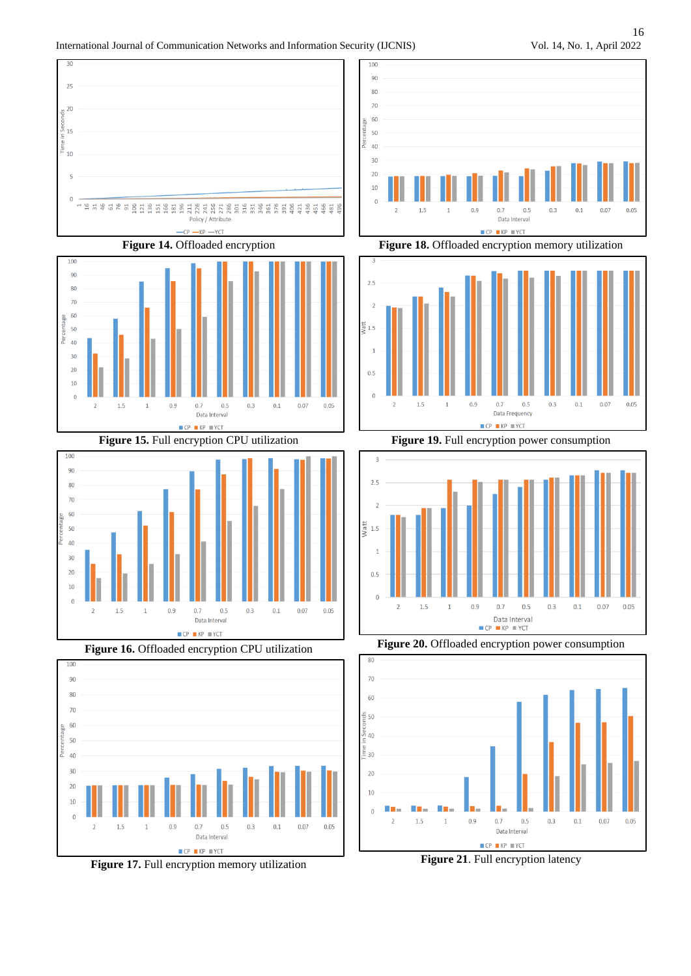$0.07$ 

 $0.07$ 

 $0.1$ 

 $0.05$ 

 $0.1$ 

 $0.05$ 





 $\blacksquare$  CP  $\blacksquare$  KP  $\blacksquare$  YCT **Figure 16.** Offloaded encryption CPU utilization

Data Interval



**Figure 17.** Full encryption memory utilization

**Figure 19.** Full encryption power consumption



**Figure 20.** Offloaded encryption power consumption



**Figure 21**. Full encryption latency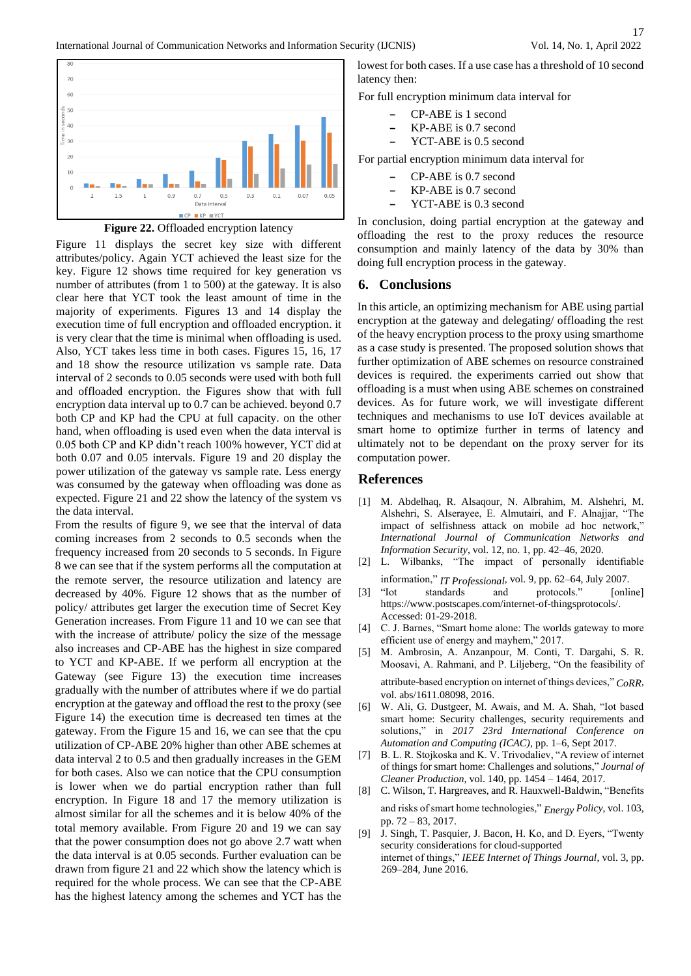



Figure 11 displays the secret key size with different attributes/policy. Again YCT achieved the least size for the key. Figure 12 shows time required for key generation vs number of attributes (from 1 to 500) at the gateway. It is also clear here that YCT took the least amount of time in the majority of experiments. Figures 13 and 14 display the execution time of full encryption and offloaded encryption. it is very clear that the time is minimal when offloading is used. Also, YCT takes less time in both cases. Figures 15, 16, 17 and 18 show the resource utilization vs sample rate. Data interval of 2 seconds to 0.05 seconds were used with both full and offloaded encryption. the Figures show that with full encryption data interval up to 0.7 can be achieved. beyond 0.7 both CP and KP had the CPU at full capacity. on the other hand, when offloading is used even when the data interval is 0.05 both CP and KP didn't reach 100% however, YCT did at both 0.07 and 0.05 intervals. Figure 19 and 20 display the power utilization of the gateway vs sample rate. Less energy was consumed by the gateway when offloading was done as expected. Figure 21 and 22 show the latency of the system vs the data interval.

From the results of figure 9, we see that the interval of data coming increases from 2 seconds to 0.5 seconds when the frequency increased from 20 seconds to 5 seconds. In Figure 8 we can see that if the system performs all the computation at the remote server, the resource utilization and latency are decreased by 40%. Figure 12 shows that as the number of policy/ attributes get larger the execution time of Secret Key Generation increases. From Figure 11 and 10 we can see that with the increase of attribute/ policy the size of the message also increases and CP-ABE has the highest in size compared to YCT and KP-ABE. If we perform all encryption at the Gateway (see Figure 13) the execution time increases gradually with the number of attributes where if we do partial encryption at the gateway and offload the rest to the proxy (see Figure 14) the execution time is decreased ten times at the gateway. From the Figure 15 and 16, we can see that the cpu utilization of CP-ABE 20% higher than other ABE schemes at data interval 2 to 0.5 and then gradually increases in the GEM for both cases. Also we can notice that the CPU consumption is lower when we do partial encryption rather than full encryption. In Figure 18 and 17 the memory utilization is almost similar for all the schemes and it is below 40% of the total memory available. From Figure 20 and 19 we can say that the power consumption does not go above 2.7 watt when the data interval is at 0.05 seconds. Further evaluation can be drawn from figure 21 and 22 which show the latency which is required for the whole process. We can see that the CP-ABE has the highest latency among the schemes and YCT has the

lowest for both cases. If a use case has a threshold of 10 second latency then:

For full encryption minimum data interval for

- **–** CP-ABE is 1 second
- **–** KP-ABE is 0.7 second
- **–** YCT-ABE is 0.5 second

For partial encryption minimum data interval for

- **–** CP-ABE is 0.7 second
- **–** KP-ABE is 0.7 second
- **–** YCT-ABE is 0.3 second

In conclusion, doing partial encryption at the gateway and offloading the rest to the proxy reduces the resource consumption and mainly latency of the data by 30% than doing full encryption process in the gateway.

#### **6. Conclusions**

In this article, an optimizing mechanism for ABE using partial encryption at the gateway and delegating/ offloading the rest of the heavy encryption process to the proxy using smarthome as a case study is presented. The proposed solution shows that further optimization of ABE schemes on resource constrained devices is required. the experiments carried out show that offloading is a must when using ABE schemes on constrained devices. As for future work, we will investigate different techniques and mechanisms to use IoT devices available at smart home to optimize further in terms of latency and ultimately not to be dependant on the proxy server for its computation power.

## **References**

- [1] M. Abdelhaq, R. Alsaqour, N. Albrahim, M. Alshehri, M. Alshehri, S. Alserayee, E. Almutairi, and F. Alnajjar, "The impact of selfishness attack on mobile ad hoc network," *International Journal of Communication Networks and Information Security*, vol. 12, no. 1, pp. 42–46, 2020.
- [2] L. Wilbanks, "The impact of personally identifiable information," *IT Professional*, vol. 9, pp. 62–64, July 2007.
- [3] "Iot standards and protocols." [online] https://www.postscapes.com/internet-of-thingsprotocols/. Accessed: 01-29-2018.
- [4] C. J. Barnes, "Smart home alone: The worlds gateway to more efficient use of energy and mayhem," 2017.
- [5] M. Ambrosin, A. Anzanpour, M. Conti, T. Dargahi, S. R. Moosavi, A. Rahmani, and P. Liljeberg, "On the feasibility of attribute-based encryption on internet of things devices," *CoRR*,
- vol. abs/1611.08098, 2016. [6] W. Ali, G. Dustgeer, M. Awais, and M. A. Shah, "Iot based smart home: Security challenges, security requirements and solutions," in *2017 23rd International Conference on*
- *Automation and Computing (ICAC)*, pp. 1–6, Sept 2017. [7] B. L. R. Stojkoska and K. V. Trivodaliev, "A review of internet of things for smart home: Challenges and solutions," *Journal of Cleaner Production*, vol. 140, pp. 1454 – 1464, 2017.
- [8] C. Wilson, T. Hargreaves, and R. Hauxwell-Baldwin, "Benefits and risks of smart home technologies," *Energy Policy*, vol. 103, pp. 72 – 83, 2017.
- [9] J. Singh, T. Pasquier, J. Bacon, H. Ko, and D. Eyers, "Twenty security considerations for cloud-supported internet of things," *IEEE Internet of Things Journal*, vol. 3, pp. 269–284, June 2016.